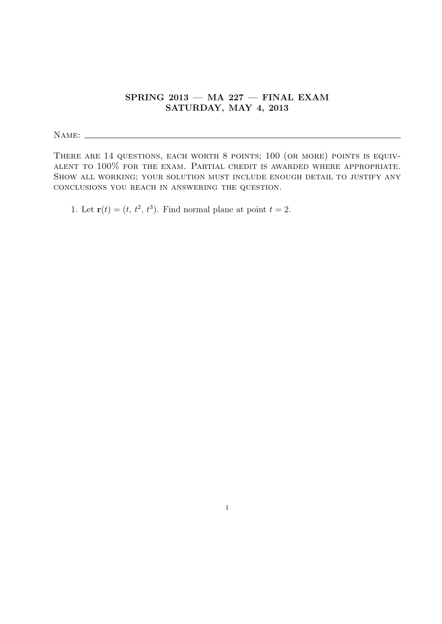## SPRING  $2013$  – MA  $227$  – FINAL EXAM SATURDAY, MAY 4, 2013

Name:

THERE ARE 14 QUESTIONS, EACH WORTH 8 POINTS; 100 (OR MORE) POINTS IS EQUIValent to 100% for the exam. Partial credit is awarded where appropriate. SHOW ALL WORKING; YOUR SOLUTION MUST INCLUDE ENOUGH DETAIL TO JUSTIFY ANY conclusions you reach in answering the question.

1. Let  $\mathbf{r}(t) = (t, t^2, t^3)$ . Find normal plane at point  $t = 2$ .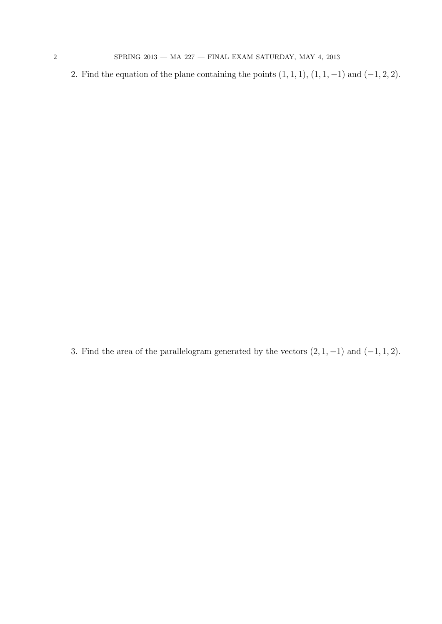2. Find the equation of the plane containing the points  $(1, 1, 1)$ ,  $(1, 1, -1)$  and  $(-1, 2, 2)$ .

3. Find the area of the parallelogram generated by the vectors  $(2, 1, -1)$  and  $(-1, 1, 2)$ .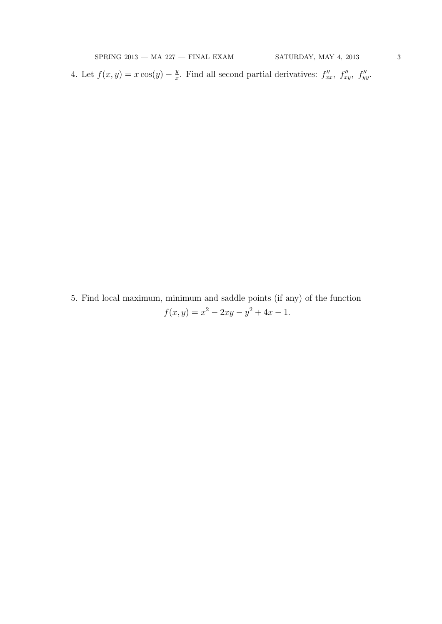4. Let  $f(x, y) = x \cos(y) - \frac{y}{x}$  $\frac{y}{x}$ . Find all second partial derivatives:  $f''_{xx}$ ,  $f''_{xy}$ ,  $f''_{yy}$ .

5. Find local maximum, minimum and saddle points (if any) of the function  $f(x,y) = x^2 - 2xy - y^2 + 4x - 1.$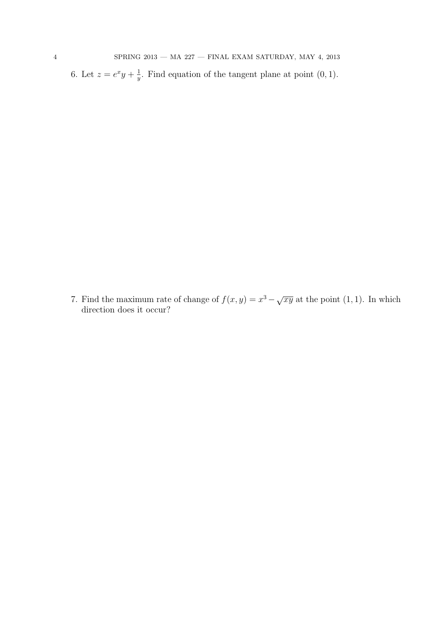6. Let  $z = e^x y + \frac{1}{y}$  $\frac{1}{y}$ . Find equation of the tangent plane at point  $(0, 1)$ .

7. Find the maximum rate of change of  $f(x, y) = x^3 - \sqrt{xy}$  at the point (1, 1). In which direction does it occur?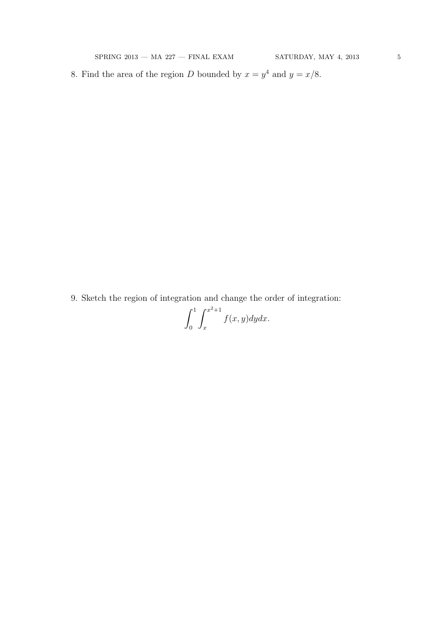8. Find the area of the region D bounded by  $x = y^4$  and  $y = x/8$ .

9. Sketch the region of integration and change the order of integration:

$$
\int_0^1 \int_x^{x^2+1} f(x,y) dy dx.
$$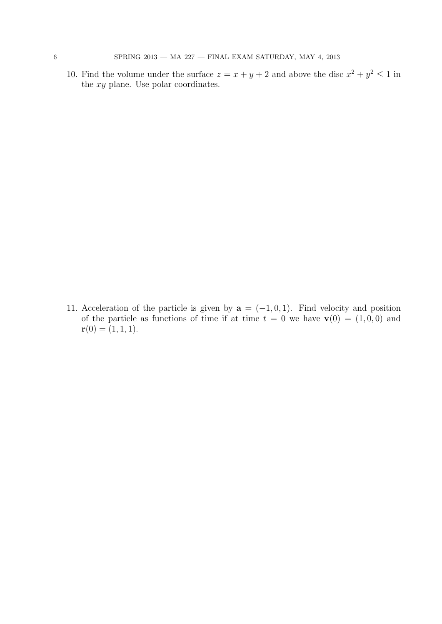10. Find the volume under the surface  $z = x + y + 2$  and above the disc  $x^2 + y^2 \le 1$  in the xy plane. Use polar coordinates.

11. Acceleration of the particle is given by  $\mathbf{a} = (-1, 0, 1)$ . Find velocity and position of the particle as functions of time if at time  $t = 0$  we have  $\mathbf{v}(0) = (1, 0, 0)$  and  $\mathbf{r}(0) = (1, 1, 1).$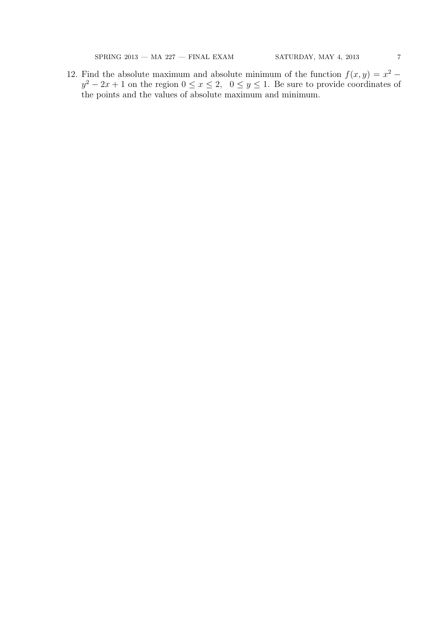$\begin{array}{lcl} \text{SPRING } 2013\, \text{---} \text{ MA } 227\, \text{---} \text{ FINAL } \text{EXAMPLE} \text{MAY} & \text{SATURDAY, MAY } 4, \, 2013 \end{array} \tag{7}$ 

12. Find the absolute maximum and absolute minimum of the function  $f(x, y) = x^2 - y^2$  $y^2 - 2x + 1$  on the region  $0 \le x \le 2$ ,  $0 \le y \le 1$ . Be sure to provide coordinates of the points and the values of absolute maximum and minimum.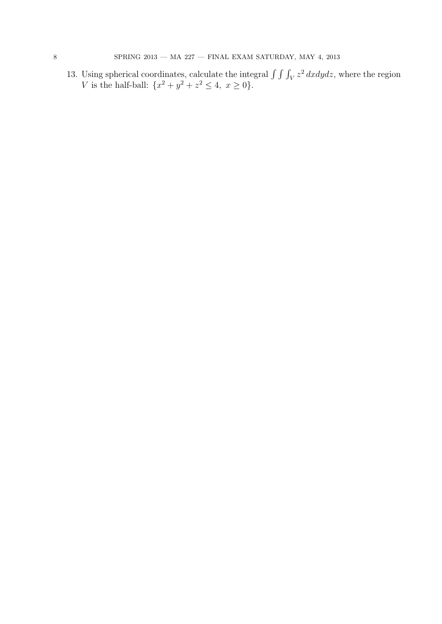13. Using spherical coordinates, calculate the integral  $\int \int \int_V z^2 dx dy dz$ , where the region V is the half-ball:  $\{x^2 + y^2 + z^2 \le 4, x \ge 0\}.$